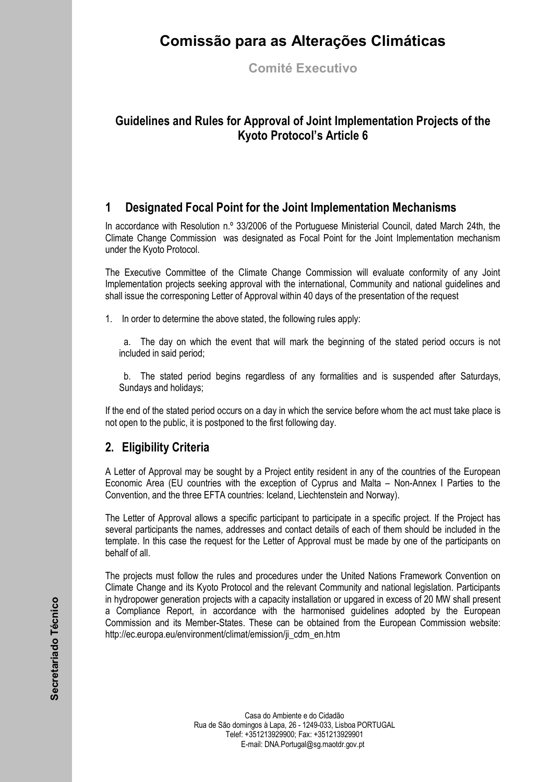# **Comissão para as Alterações Climáticas**

**Comité Executivo** 

## **Guidelines and Rules for Approval of Joint Implementation Projects of the Kyoto Protocolís Article 6**

### **1 Designated Focal Point for the Joint Implementation Mechanisms**

In accordance with Resolution n.º 33/2006 of the Portuguese Ministerial Council, dated March 24th, the Climate Change Commission was designated as Focal Point for the Joint Implementation mechanism under the Kyoto Protocol.

The Executive Committee of the Climate Change Commission will evaluate conformity of any Joint Implementation projects seeking approval with the international, Community and national guidelines and shall issue the corresponing Letter of Approval within 40 days of the presentation of the request

1. In order to determine the above stated, the following rules apply:

a. The day on which the event that will mark the beginning of the stated period occurs is not included in said period;

b. The stated period begins regardless of any formalities and is suspended after Saturdays, Sundays and holidays;

If the end of the stated period occurs on a day in which the service before whom the act must take place is not open to the public, it is postponed to the first following day.

## **2. Eligibility Criteria**

A Letter of Approval may be sought by a Project entity resident in any of the countries of the European Economic Area (EU countries with the exception of Cyprus and Malta – Non-Annex I Parties to the Convention, and the three EFTA countries: Iceland, Liechtenstein and Norway).

The Letter of Approval allows a specific participant to participate in a specific project. If the Project has several participants the names, addresses and contact details of each of them should be included in the template. In this case the request for the Letter of Approval must be made by one of the participants on behalf of all.

The projects must follow the rules and procedures under the United Nations Framework Convention on Climate Change and its Kyoto Protocol and the relevant Community and national legislation. Participants in hydropower generation projects with a capacity installation or upgared in excess of 20 MW shall present a Compliance Report, in accordance with the harmonised guidelines adopted by the European Commission and its Member-States. These can be obtained from the European Commission website: http://ec.europa.eu/environment/climat/emission/ji\_cdm\_en.htm